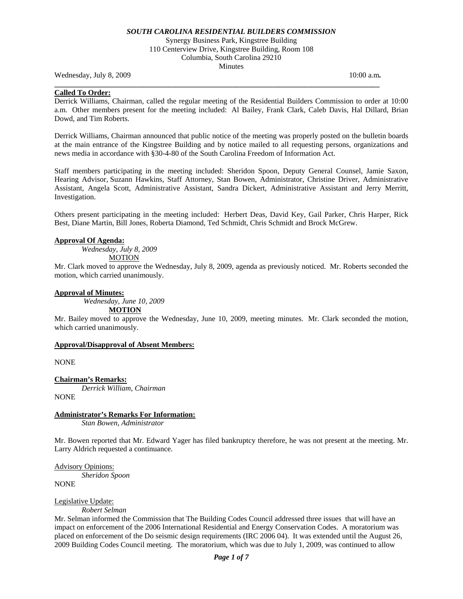Synergy Business Park, Kingstree Building 110 Centerview Drive, Kingstree Building, Room 108 Columbia, South Carolina 29210 Minutes

Wednesday, July 8, 2009 **10:00 a.m. 10:00 a.m. 10:00 a.m. 10:00 a.m.** 

# **Called To Order:**

Derrick Williams, Chairman, called the regular meeting of the Residential Builders Commission to order at 10:00 a.m. Other members present for the meeting included: Al Bailey, Frank Clark, Caleb Davis, Hal Dillard, Brian Dowd, and Tim Roberts.

**\_\_\_\_\_\_\_\_\_\_\_\_\_\_\_\_\_\_\_\_\_\_\_\_\_\_\_\_\_\_\_\_\_\_\_\_\_\_\_\_\_\_\_\_\_\_\_\_\_\_\_\_\_\_\_\_\_\_\_\_\_\_\_\_\_\_\_\_\_\_\_\_\_\_\_\_\_\_\_\_\_\_\_\_\_\_** 

Derrick Williams, Chairman announced that public notice of the meeting was properly posted on the bulletin boards at the main entrance of the Kingstree Building and by notice mailed to all requesting persons, organizations and news media in accordance with §30-4-80 of the South Carolina Freedom of Information Act.

Staff members participating in the meeting included: Sheridon Spoon, Deputy General Counsel, Jamie Saxon, Hearing Advisor, Suzann Hawkins, Staff Attorney, Stan Bowen, Administrator, Christine Driver, Administrative Assistant, Angela Scott, Administrative Assistant, Sandra Dickert, Administrative Assistant and Jerry Merritt, Investigation.

Others present participating in the meeting included: Herbert Deas, David Key, Gail Parker, Chris Harper, Rick Best, Diane Martin, Bill Jones, Roberta Diamond, Ted Schmidt, Chris Schmidt and Brock McGrew.

#### **Approval Of Agenda:**

*Wednesday, July 8, 2009* 

**MOTION** 

Mr. Clark moved to approve the Wednesday, July 8, 2009, agenda as previously noticed. Mr. Roberts seconded the motion, which carried unanimously.

#### **Approval of Minutes:**

*Wednesday, June 10, 2009* 

**MOTION**

Mr. Bailey moved to approve the Wednesday, June 10, 2009, meeting minutes. Mr. Clark seconded the motion, which carried unanimously.

### **Approval/Disapproval of Absent Members:**

NONE

# **Chairman's Remarks:**

*Derrick William, Chairman*  NONE

# **Administrator's Remarks For Information:**

 *Stan Bowen, Administrator* 

Mr. Bowen reported that Mr. Edward Yager has filed bankruptcy therefore, he was not present at the meeting. Mr. Larry Aldrich requested a continuance.

Advisory Opinions: *Sheridon Spoon* 

NONE

### Legislative Update:

*Robert Selman* 

Mr. Selman informed the Commission that The Building Codes Council addressed three issues that will have an impact on enforcement of the 2006 International Residential and Energy Conservation Codes. A moratorium was placed on enforcement of the Do seismic design requirements (IRC 2006 04). It was extended until the August 26, 2009 Building Codes Council meeting. The moratorium, which was due to July 1, 2009, was continued to allow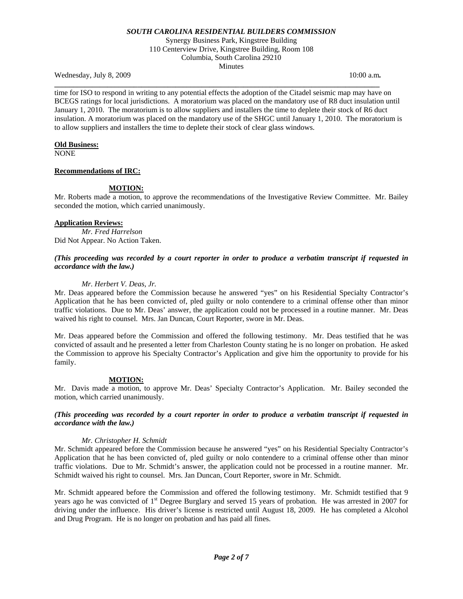Synergy Business Park, Kingstree Building 110 Centerview Drive, Kingstree Building, Room 108 Columbia, South Carolina 29210 Minutes

Wednesday, July 8, 2009 **10:00 a.m. 10:00 a.m. 10:00 a.m. 10:00 a.m.** 

time for ISO to respond in writing to any potential effects the adoption of the Citadel seismic map may have on BCEGS ratings for local jurisdictions. A moratorium was placed on the mandatory use of R8 duct insulation until January 1, 2010. The moratorium is to allow suppliers and installers the time to deplete their stock of R6 duct insulation. A moratorium was placed on the mandatory use of the SHGC until January 1, 2010. The moratorium is to allow suppliers and installers the time to deplete their stock of clear glass windows.

**\_\_\_\_\_\_\_\_\_\_\_\_\_\_\_\_\_\_\_\_\_\_\_\_\_\_\_\_\_\_\_\_\_\_\_\_\_\_\_\_\_\_\_\_\_\_\_\_\_\_\_\_\_\_\_\_\_\_\_\_\_\_\_\_\_\_\_\_\_\_\_\_\_\_\_\_\_\_\_\_\_\_\_\_\_\_** 

#### **Old Business:**

NONE

### **Recommendations of IRC:**

### **MOTION:**

Mr. Roberts made a motion, to approve the recommendations of the Investigative Review Committee. Mr. Bailey seconded the motion, which carried unanimously.

#### **Application Reviews:**

 *Mr. Fred Harrelson*  Did Not Appear. No Action Taken.

### *(This proceeding was recorded by a court reporter in order to produce a verbatim transcript if requested in accordance with the law.)*

### *Mr. Herbert V. Deas, Jr.*

Mr. Deas appeared before the Commission because he answered "yes" on his Residential Specialty Contractor's Application that he has been convicted of, pled guilty or nolo contendere to a criminal offense other than minor traffic violations. Due to Mr. Deas' answer, the application could not be processed in a routine manner. Mr. Deas waived his right to counsel. Mrs. Jan Duncan, Court Reporter, swore in Mr. Deas.

Mr. Deas appeared before the Commission and offered the following testimony. Mr. Deas testified that he was convicted of assault and he presented a letter from Charleston County stating he is no longer on probation. He asked the Commission to approve his Specialty Contractor's Application and give him the opportunity to provide for his family.

### **MOTION:**

Mr. Davis made a motion, to approve Mr. Deas' Specialty Contractor's Application. Mr. Bailey seconded the motion, which carried unanimously.

# *(This proceeding was recorded by a court reporter in order to produce a verbatim transcript if requested in accordance with the law.)*

### *Mr. Christopher H. Schmidt*

Mr. Schmidt appeared before the Commission because he answered "yes" on his Residential Specialty Contractor's Application that he has been convicted of, pled guilty or nolo contendere to a criminal offense other than minor traffic violations. Due to Mr. Schmidt's answer, the application could not be processed in a routine manner. Mr. Schmidt waived his right to counsel. Mrs. Jan Duncan, Court Reporter, swore in Mr. Schmidt.

Mr. Schmidt appeared before the Commission and offered the following testimony. Mr. Schmidt testified that 9 years ago he was convicted of 1<sup>st</sup> Degree Burglary and served 15 years of probation. He was arrested in 2007 for driving under the influence. His driver's license is restricted until August 18, 2009. He has completed a Alcohol and Drug Program. He is no longer on probation and has paid all fines.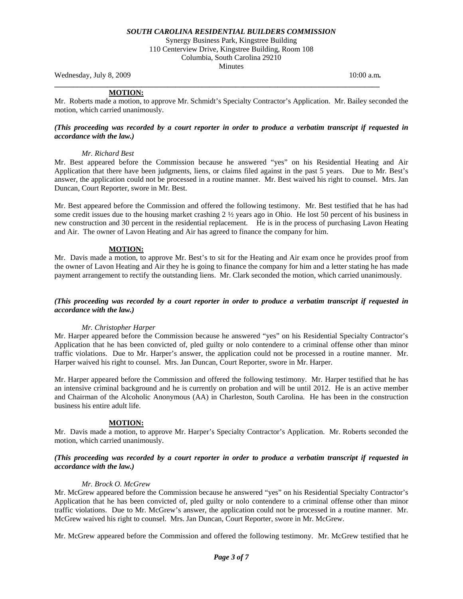Synergy Business Park, Kingstree Building 110 Centerview Drive, Kingstree Building, Room 108 Columbia, South Carolina 29210 Minutes

Wednesday, July 8, 2009 **10:00 a.m. 10:00 a.m. 10:00 a.m. 10:00 a.m.** 

**\_\_\_\_\_\_\_\_\_\_\_\_\_\_\_\_\_\_\_\_\_\_\_\_\_\_\_\_\_\_\_\_\_\_\_\_\_\_\_\_\_\_\_\_\_\_\_\_\_\_\_\_\_\_\_\_\_\_\_\_\_\_\_\_\_\_\_\_\_\_\_\_\_\_\_\_\_\_\_\_\_\_\_\_\_\_** 

### **MOTION:**

Mr. Roberts made a motion, to approve Mr. Schmidt's Specialty Contractor's Application. Mr. Bailey seconded the motion, which carried unanimously.

#### *(This proceeding was recorded by a court reporter in order to produce a verbatim transcript if requested in accordance with the law.)*

### *Mr. Richard Best*

Mr. Best appeared before the Commission because he answered "yes" on his Residential Heating and Air Application that there have been judgments, liens, or claims filed against in the past 5 years. Due to Mr. Best's answer, the application could not be processed in a routine manner. Mr. Best waived his right to counsel. Mrs. Jan Duncan, Court Reporter, swore in Mr. Best.

Mr. Best appeared before the Commission and offered the following testimony. Mr. Best testified that he has had some credit issues due to the housing market crashing 2 ½ years ago in Ohio. He lost 50 percent of his business in new construction and 30 percent in the residential replacement. He is in the process of purchasing Lavon Heating and Air. The owner of Lavon Heating and Air has agreed to finance the company for him.

# **MOTION:**

Mr. Davis made a motion, to approve Mr. Best's to sit for the Heating and Air exam once he provides proof from the owner of Lavon Heating and Air they he is going to finance the company for him and a letter stating he has made payment arrangement to rectify the outstanding liens. Mr. Clark seconded the motion, which carried unanimously.

# *(This proceeding was recorded by a court reporter in order to produce a verbatim transcript if requested in accordance with the law.)*

### *Mr. Christopher Harper*

Mr. Harper appeared before the Commission because he answered "yes" on his Residential Specialty Contractor's Application that he has been convicted of, pled guilty or nolo contendere to a criminal offense other than minor traffic violations. Due to Mr. Harper's answer, the application could not be processed in a routine manner. Mr. Harper waived his right to counsel. Mrs. Jan Duncan, Court Reporter, swore in Mr. Harper.

Mr. Harper appeared before the Commission and offered the following testimony. Mr. Harper testified that he has an intensive criminal background and he is currently on probation and will be until 2012. He is an active member and Chairman of the Alcoholic Anonymous (AA) in Charleston, South Carolina. He has been in the construction business his entire adult life.

### **MOTION:**

Mr. Davis made a motion, to approve Mr. Harper's Specialty Contractor's Application. Mr. Roberts seconded the motion, which carried unanimously.

# *(This proceeding was recorded by a court reporter in order to produce a verbatim transcript if requested in accordance with the law.)*

### *Mr. Brock O. McGrew*

Mr. McGrew appeared before the Commission because he answered "yes" on his Residential Specialty Contractor's Application that he has been convicted of, pled guilty or nolo contendere to a criminal offense other than minor traffic violations. Due to Mr. McGrew's answer, the application could not be processed in a routine manner. Mr. McGrew waived his right to counsel. Mrs. Jan Duncan, Court Reporter, swore in Mr. McGrew.

Mr. McGrew appeared before the Commission and offered the following testimony. Mr. McGrew testified that he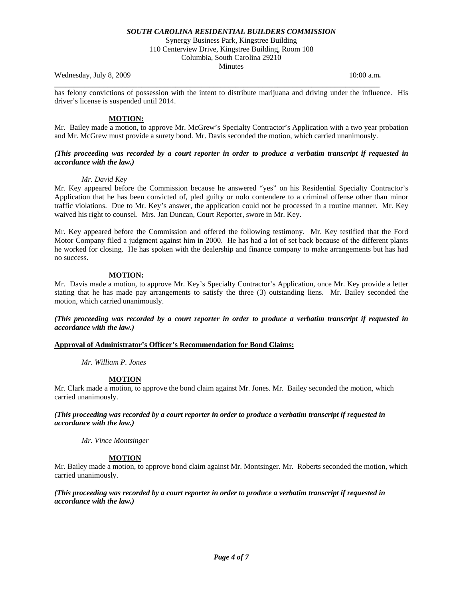Synergy Business Park, Kingstree Building

110 Centerview Drive, Kingstree Building, Room 108 Columbia, South Carolina 29210

Minutes

Wednesday, July 8, 2009 **10:00 a.m. 10:00 a.m. 10:00 a.m. 10:00 a.m.** 

has felony convictions of possession with the intent to distribute marijuana and driving under the influence. His driver's license is suspended until 2014.

**\_\_\_\_\_\_\_\_\_\_\_\_\_\_\_\_\_\_\_\_\_\_\_\_\_\_\_\_\_\_\_\_\_\_\_\_\_\_\_\_\_\_\_\_\_\_\_\_\_\_\_\_\_\_\_\_\_\_\_\_\_\_\_\_\_\_\_\_\_\_\_\_\_\_\_\_\_\_\_\_\_\_\_\_\_\_** 

# **MOTION:**

Mr. Bailey made a motion, to approve Mr. McGrew's Specialty Contractor's Application with a two year probation and Mr. McGrew must provide a surety bond. Mr. Davis seconded the motion, which carried unanimously.

# *(This proceeding was recorded by a court reporter in order to produce a verbatim transcript if requested in accordance with the law.)*

# *Mr. David Key*

Mr. Key appeared before the Commission because he answered "yes" on his Residential Specialty Contractor's Application that he has been convicted of, pled guilty or nolo contendere to a criminal offense other than minor traffic violations. Due to Mr. Key's answer, the application could not be processed in a routine manner. Mr. Key waived his right to counsel. Mrs. Jan Duncan, Court Reporter, swore in Mr. Key.

Mr. Key appeared before the Commission and offered the following testimony. Mr. Key testified that the Ford Motor Company filed a judgment against him in 2000. He has had a lot of set back because of the different plants he worked for closing. He has spoken with the dealership and finance company to make arrangements but has had no success.

# **MOTION:**

Mr. Davis made a motion, to approve Mr. Key's Specialty Contractor's Application, once Mr. Key provide a letter stating that he has made pay arrangements to satisfy the three (3) outstanding liens. Mr. Bailey seconded the motion, which carried unanimously.

*(This proceeding was recorded by a court reporter in order to produce a verbatim transcript if requested in accordance with the law.)* 

# **Approval of Administrator's Officer's Recommendation for Bond Claims:**

*Mr. William P. Jones* 

### **MOTION**

Mr. Clark made a motion, to approve the bond claim against Mr. Jones. Mr. Bailey seconded the motion, which carried unanimously.

*(This proceeding was recorded by a court reporter in order to produce a verbatim transcript if requested in accordance with the law.)* 

 *Mr. Vince Montsinger* 

### **MOTION**

Mr. Bailey made a motion, to approve bond claim against Mr. Montsinger. Mr. Roberts seconded the motion, which carried unanimously.

*(This proceeding was recorded by a court reporter in order to produce a verbatim transcript if requested in accordance with the law.)*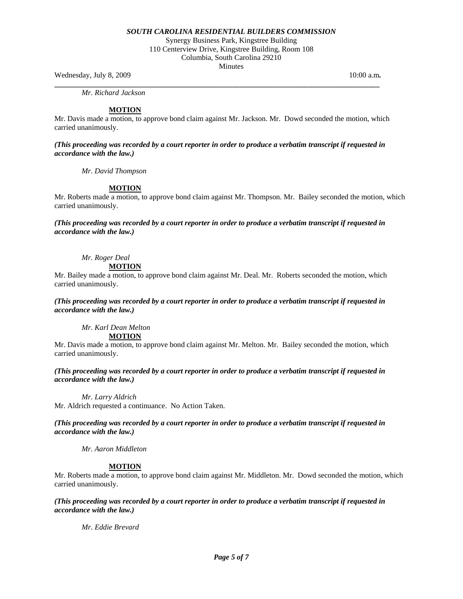Synergy Business Park, Kingstree Building 110 Centerview Drive, Kingstree Building, Room 108 Columbia, South Carolina 29210 Minutes

Wednesday, July 8, 2009 **10:00 a.m. 10:00 a.m. 10:00 a.m. 10:00 a.m.** 

**\_\_\_\_\_\_\_\_\_\_\_\_\_\_\_\_\_\_\_\_\_\_\_\_\_\_\_\_\_\_\_\_\_\_\_\_\_\_\_\_\_\_\_\_\_\_\_\_\_\_\_\_\_\_\_\_\_\_\_\_\_\_\_\_\_\_\_\_\_\_\_\_\_\_\_\_\_\_\_\_\_\_\_\_\_\_**   *Mr. Richard Jackson* 

### **MOTION**

Mr. Davis made a motion, to approve bond claim against Mr. Jackson. Mr. Dowd seconded the motion, which carried unanimously.

*(This proceeding was recorded by a court reporter in order to produce a verbatim transcript if requested in accordance with the law.)* 

 *Mr. David Thompson* 

# **MOTION**

Mr. Roberts made a motion, to approve bond claim against Mr. Thompson. Mr. Bailey seconded the motion, which carried unanimously.

*(This proceeding was recorded by a court reporter in order to produce a verbatim transcript if requested in accordance with the law.)* 

# *Mr. Roger Deal*

**MOTION**

Mr. Bailey made a motion, to approve bond claim against Mr. Deal. Mr. Roberts seconded the motion, which carried unanimously.

*(This proceeding was recorded by a court reporter in order to produce a verbatim transcript if requested in accordance with the law.)* 

 *Mr. Karl Dean Melton* 

**MOTION**

Mr. Davis made a motion, to approve bond claim against Mr. Melton. Mr. Bailey seconded the motion, which carried unanimously.

*(This proceeding was recorded by a court reporter in order to produce a verbatim transcript if requested in accordance with the law.)* 

 *Mr. Larry Aldrich* 

Mr. Aldrich requested a continuance. No Action Taken.

*(This proceeding was recorded by a court reporter in order to produce a verbatim transcript if requested in accordance with the law.)* 

 *Mr. Aaron Middleton* 

### **MOTION**

Mr. Roberts made a motion, to approve bond claim against Mr. Middleton. Mr. Dowd seconded the motion, which carried unanimously.

*(This proceeding was recorded by a court reporter in order to produce a verbatim transcript if requested in accordance with the law.)* 

 *Mr. Eddie Brevard*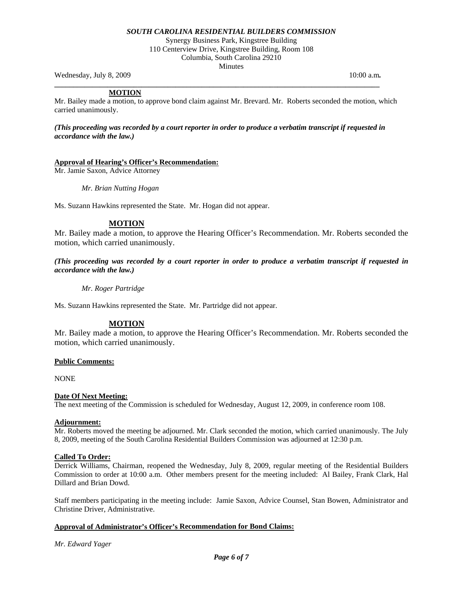Synergy Business Park, Kingstree Building 110 Centerview Drive, Kingstree Building, Room 108 Columbia, South Carolina 29210 Minutes

Wednesday, July 8, 2009 **10:00 a.m. 10:00 a.m. 10:00 a.m. 10:00 a.m.** 

# **MOTION**

Mr. Bailey made a motion, to approve bond claim against Mr. Brevard. Mr. Roberts seconded the motion, which carried unanimously.

*(This proceeding was recorded by a court reporter in order to produce a verbatim transcript if requested in accordance with the law.)* 

**\_\_\_\_\_\_\_\_\_\_\_\_\_\_\_\_\_\_\_\_\_\_\_\_\_\_\_\_\_\_\_\_\_\_\_\_\_\_\_\_\_\_\_\_\_\_\_\_\_\_\_\_\_\_\_\_\_\_\_\_\_\_\_\_\_\_\_\_\_\_\_\_\_\_\_\_\_\_\_\_\_\_\_\_\_\_** 

# **Approval of Hearing's Officer's Recommendation:**

Mr. Jamie Saxon, Advice Attorney

*Mr. Brian Nutting Hogan* 

Ms. Suzann Hawkins represented the State. Mr. Hogan did not appear.

### **MOTION**

Mr. Bailey made a motion, to approve the Hearing Officer's Recommendation. Mr. Roberts seconded the motion, which carried unanimously.

*(This proceeding was recorded by a court reporter in order to produce a verbatim transcript if requested in accordance with the law.)* 

 *Mr. Roger Partridge* 

Ms. Suzann Hawkins represented the State. Mr. Partridge did not appear.

# **MOTION**

Mr. Bailey made a motion, to approve the Hearing Officer's Recommendation. Mr. Roberts seconded the motion, which carried unanimously.

# **Public Comments:**

NONE

### **Date Of Next Meeting:**

The next meeting of the Commission is scheduled for Wednesday, August 12, 2009, in conference room 108.

#### **Adjournment:**

Mr. Roberts moved the meeting be adjourned. Mr. Clark seconded the motion, which carried unanimously. The July 8, 2009, meeting of the South Carolina Residential Builders Commission was adjourned at 12:30 p.m.

### **Called To Order:**

Derrick Williams, Chairman, reopened the Wednesday, July 8, 2009, regular meeting of the Residential Builders Commission to order at 10:00 a.m. Other members present for the meeting included: Al Bailey, Frank Clark, Hal Dillard and Brian Dowd.

Staff members participating in the meeting include: Jamie Saxon, Advice Counsel, Stan Bowen, Administrator and Christine Driver, Administrative.

### **Approval of Administrator's Officer's Recommendation for Bond Claims:**

*Mr. Edward Yager*